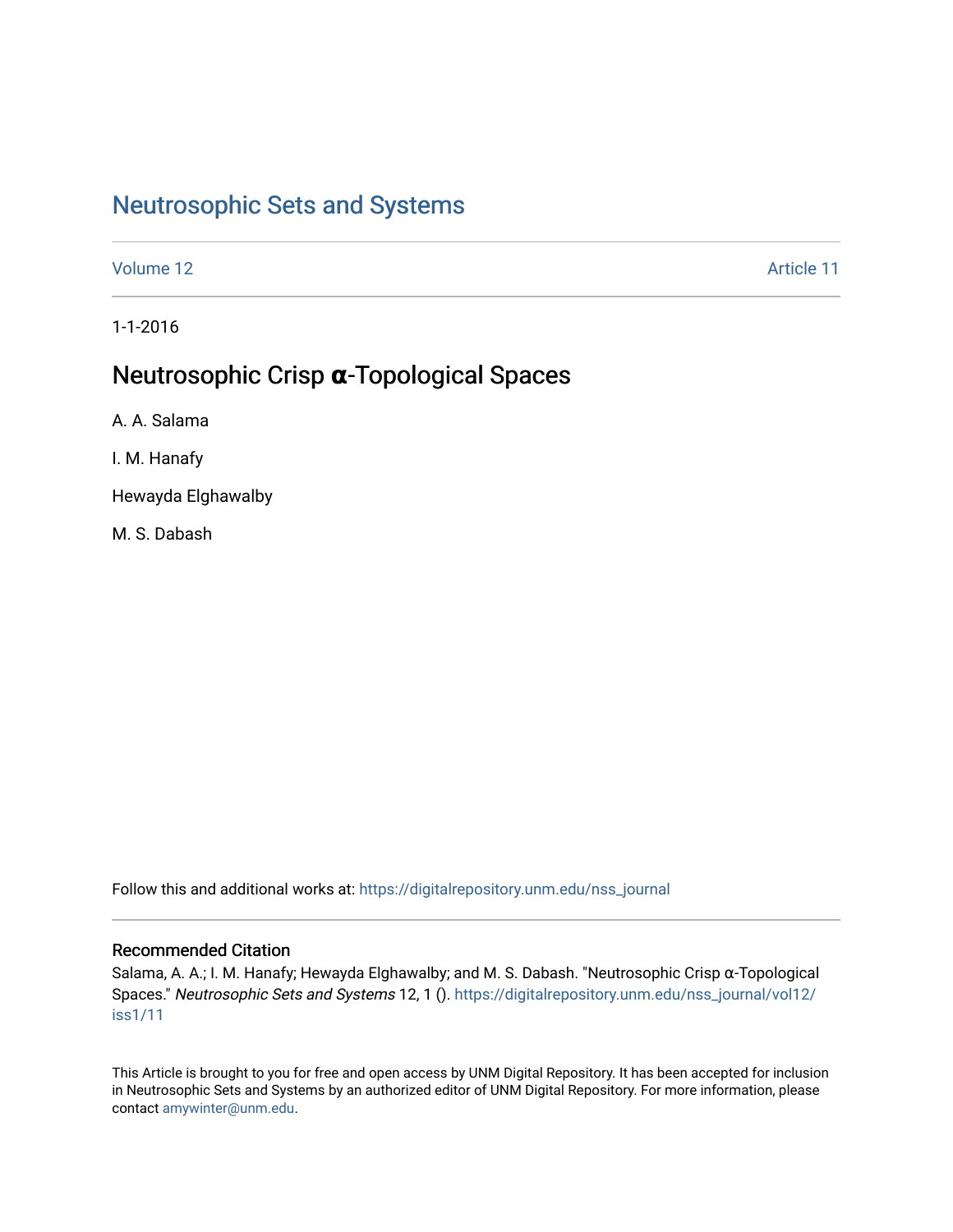# [Neutrosophic Sets and Systems](https://digitalrepository.unm.edu/nss_journal)

[Volume 12](https://digitalrepository.unm.edu/nss_journal/vol12) Article 11

1-1-2016

# Neutrosophic Crisp **α**-Topological Spaces

A. A. Salama

I. M. Hanafy

Hewayda Elghawalby

M. S. Dabash

Follow this and additional works at: [https://digitalrepository.unm.edu/nss\\_journal](https://digitalrepository.unm.edu/nss_journal?utm_source=digitalrepository.unm.edu%2Fnss_journal%2Fvol12%2Fiss1%2F11&utm_medium=PDF&utm_campaign=PDFCoverPages) 

### Recommended Citation

Salama, A. A.; I. M. Hanafy; Hewayda Elghawalby; and M. S. Dabash. "Neutrosophic Crisp α-Topological Spaces." Neutrosophic Sets and Systems 12, 1 (). [https://digitalrepository.unm.edu/nss\\_journal/vol12/](https://digitalrepository.unm.edu/nss_journal/vol12/iss1/11?utm_source=digitalrepository.unm.edu%2Fnss_journal%2Fvol12%2Fiss1%2F11&utm_medium=PDF&utm_campaign=PDFCoverPages) [iss1/11](https://digitalrepository.unm.edu/nss_journal/vol12/iss1/11?utm_source=digitalrepository.unm.edu%2Fnss_journal%2Fvol12%2Fiss1%2F11&utm_medium=PDF&utm_campaign=PDFCoverPages) 

This Article is brought to you for free and open access by UNM Digital Repository. It has been accepted for inclusion in Neutrosophic Sets and Systems by an authorized editor of UNM Digital Repository. For more information, please contact [amywinter@unm.edu](mailto:amywinter@unm.edu).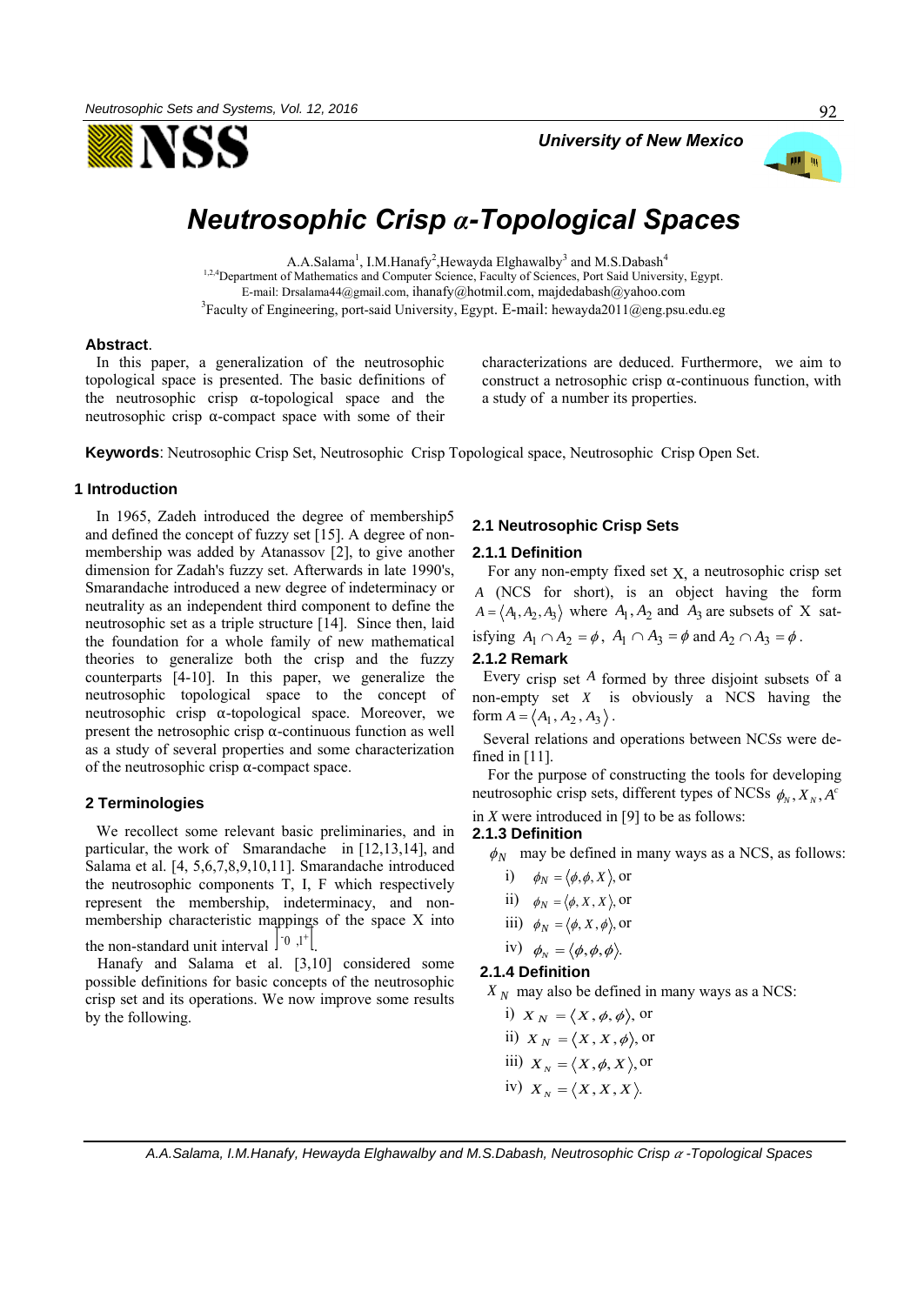



# *Neutrosophic Crisp α-Topological Spaces*

A.A.Salama<sup>1</sup>, I.M.Hanafy<sup>2</sup>,Hewayda Elghawalby<sup>3</sup> and M.S.Dabash<sup>4</sup> 1,2,4 Department of Mathematics and Computer Science, Faculty of Sciences, Port Said University, Egypt. E-mail: [Drsalama44@gmail.com,](mailto:Drsalama44@gmail.com) [ihanafy@hotmil.com,](mailto:ihanafy@hotmil.com) [majdedabash@yahoo.com](mailto:majdedabash@yahoo.com)  ${}^{3}$ Faculty of Engineering, port-said University, Egypt. E-mail: [hewayda2011@eng.psu.edu.eg](mailto:hewayda2011@eng.psu.edu.eg)

#### **Abstract**.

In this paper, a generalization of the neutrosophic topological space is presented. The basic definitions of the neutrosophic crisp  $\alpha$ -topological space and the neutrosophic crisp α-compact space with some of their

characterizations are deduced. Furthermore, we aim to construct a netrosophic crisp α-continuous function, with a study of a number its properties.

**Keywords**: Neutrosophic Crisp Set, Neutrosophic Crisp Topological space, Neutrosophic Crisp Open Set.

#### **1 Introduction**

In 1965, Zadeh introduced the degree of membership5 and defined the concept of fuzzy set [15]. A degree of nonmembership was added by Atanassov [2], to give another dimension for Zadah's fuzzy set. Afterwards in late 1990's, Smarandache introduced a new degree of indeterminacy or neutrality as an independent third component to define the neutrosophic set as a triple structure [14]. Since then, laid the foundation for a whole family of new mathematical theories to generalize both the crisp and the fuzzy counterparts [4-10]. In this paper, we generalize the neutrosophic topological space to the concept of neutrosophic crisp α-topological space. Moreover, we present the netrosophic crisp  $\alpha$ -continuous function as well as a study of several properties and some characterization of the neutrosophic crisp  $\alpha$ -compact space.

#### **2 Terminologies**

We recollect some relevant basic preliminaries, and in particular, the work of Smarandache in [12,13,14], and Salama et al. [4, 5,6,7,8,9,10,11]. Smarandache introduced the neutrosophic components T, I, F which respectively represent the membership, indeterminacy, and nonmembership characteristic mappings of the space X into the non-standard unit interval  $\left| \begin{array}{cc} -0 \\ 0 \end{array} \right|$ . .

Hanafy and Salama et al. [3,10] considered some possible definitions for basic concepts of the neutrosophic crisp set and its operations. We now improve some results by the following.

#### **2.1 Neutrosophic Crisp Sets**

#### **2.1.1 Definition**

For any non-empty fixed set  $X$ , a neutrosophic crisp set *A* (NCS for short), is an object having the form  $A = \langle A_1, A_2, A_3 \rangle$  where  $A_1, A_2$  and  $A_3$  are subsets of X sat-

isfying  $A_1 \cap A_2 = \phi$ ,  $A_1 \cap A_3 = \phi$  and  $A_2 \cap A_3 = \phi$ .

### **2.1.2 Remark**

Every crisp set *A* formed by three disjoint subsets of a non-empty set *X* is obviously a NCS having the form  $A = \langle A_1, A_2, A_3 \rangle$ .

Several relations and operations between NC*Ss* were defined in [11].

For the purpose of constructing the tools for developing neutrosophic crisp sets, different types of NCSs  $\phi_{\scriptscriptstyle N}, X_{\scriptscriptstyle N}, A^c$ 

in *X* were introduced in [9] to be as follows:

#### **2.1.3 Definition**

- $\phi_N$  may be defined in many ways as a NCS, as follows:
	- i)  $\phi_N = \langle \phi, \phi, X \rangle$ , or
	- ii)  $\phi_N = \langle \phi, X, X \rangle$ , or
	- iii)  $\phi_N = \langle \phi, X, \phi \rangle$ , or
	- iv)  $\phi_N = \langle \phi, \phi, \phi \rangle$ .

**2.1.4 Definition** 

 $X_N$  may also be defined in many ways as a NCS:

i)  $X_N = \langle X, \phi, \phi \rangle$ , or ii)  $X_N = \langle X, X, \phi \rangle$ , or iii)  $X_N = \langle X, \phi, X \rangle$ , or iv)  $X_N = \langle X, X, X \rangle$ .

 *A.A.Salama, I.M.Hanafy, Hewayda Elghawalby and M.S.Dabash, Neutrosophic Crisp -Topological Spaces* 

92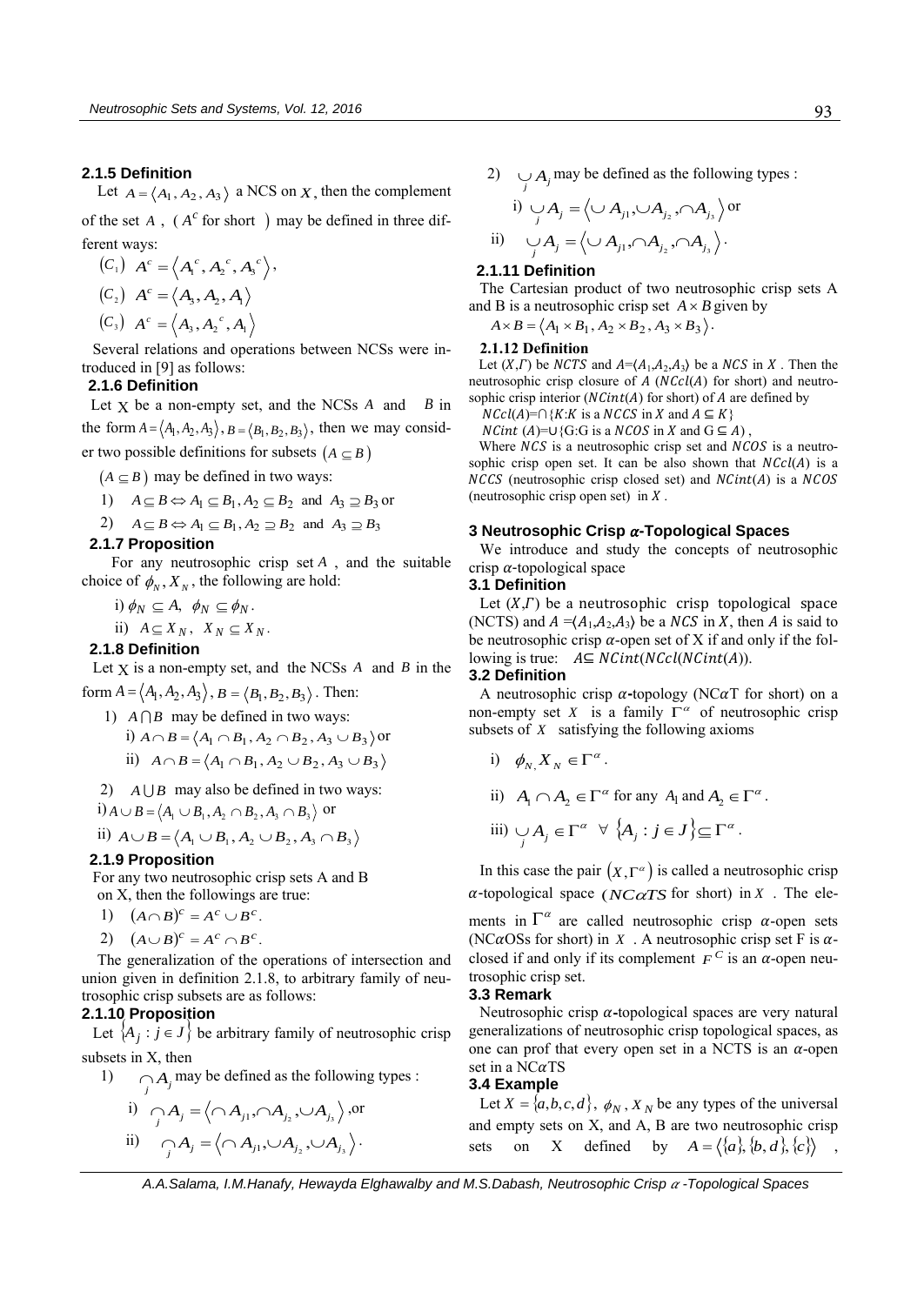#### **2.1.5 Definition**

Let  $A = \langle A_1, A_2, A_3 \rangle$  a NCS on *X*, then the complement of the set  $A$ ,  $(A^c$  for short ) may be defined in three different ways:

$$
(C1) Ac = \langle A1c, A2c, A3c \rangle,
$$
  

$$
(C2) Ac = \langle A3, A2, A1 \rangle
$$
  

$$
(C3) Ac = \langle A3, A2c, A1 \rangle
$$

Several relations and operations between NCSs were introduced in [9] as follows:

#### **2.1.6 Definition**

Let  $X$  be a non-empty set, and the NCSs  $A$  and  $B$  in the form  $A = \langle A_1, A_2, A_3 \rangle$ ,  $B = \langle B_1, B_2, B_3 \rangle$ , then we may consider two possible definitions for subsets  $(A \subseteq B)$ 

 $(A \subseteq B)$  may be defined in two ways:

1)  $A \subseteq B \Leftrightarrow A_1 \subseteq B_1, A_2 \subseteq B_2$  and  $A_3 \supseteq B_3$  or

2) 
$$
A \subseteq B \Leftrightarrow A_1 \subseteq B_1, A_2 \supseteq B_2
$$
 and  $A_3 \supseteq B_3$ 

#### **2.1.7 Proposition**

 For any neutrosophic crisp set *A* , and the suitable choice of  $\phi_N$ ,  $X_N$ , the following are hold:

- i)  $\phi_N \subseteq A$ ,  $\phi_N \subseteq \phi_N$ .
- ii)  $A \subseteq X_N$ ,  $X_N \subseteq X_N$ .

#### **2.1.8 Definition**

Let  $X$  is a non-empty set, and the NCSs  $A$  and  $B$  in the

- form  $A = \langle A_1, A_2, A_3 \rangle$ ,  $B = \langle B_1, B_2, B_3 \rangle$ . Then:
	- 1)  $A \cap B$  may be defined in two ways: i)  $A \cap B = \langle A_1 \cap B_1, A_2 \cap B_2, A_3 \cup B_3 \rangle$  or ii)  $A \cap B = \langle A_1 \cap B_1, A_2 \cup B_2, A_3 \cup B_3 \rangle$
	- 2)  $A \cup B$  may also be defined in two ways:
- i)  $A \cup B = \langle A_1 \cup B_1, A_2 \cap B_2, A_3 \cap B_3 \rangle$  or

ii) 
$$
A \cup B = \langle A_1 \cup B_1, A_2 \cup B_2, A_3 \cap B_3 \rangle
$$

#### **2.1.9 Proposition**

For any two neutrosophic crisp sets A and B

- on X, then the followings are true:
- 1)  $(A \cap B)^c = A^c \cup B^c$ .
- 2)  $(A \cup B)^c = A^c \cap B^c.$

The generalization of the operations of intersection and union given in definition 2.1.8, to arbitrary family of neutrosophic crisp subsets are as follows:

### **2.1.10 Proposition**

Let  $\{A_j : j \in J\}$  be arbitrary family of neutrosophic crisp subsets in X, then

1)  $\bigcap_j A_j$  may be defined as the following types :

i) 
$$
\bigcap_{j} A_{j} = \langle \bigcap A_{j1}, \bigcap A_{j_2}, \bigcup A_{j_3} \rangle
$$
, or  
ii)  $\bigcap_{j} A_{j} = \langle \bigcap A_{j1}, \bigcup A_{j_2}, \bigcup A_{j_3} \rangle$ .

2) 
$$
\bigcup_{j} A_j
$$
 may be defined as the following types :

i) 
$$
\bigcup_j A_j = \left\langle \bigcup A_{j1}, \bigcup A_{j_2}, \bigcap A_{j_3} \right\rangle
$$
 or  
ii)  $\bigcup_j A_j = \left\langle \bigcup A_{j1}, \bigcap A_{j_2}, \bigcap A_{j_3} \right\rangle$ .

#### **2.1.11 Definition**

The Cartesian product of two neutrosophic crisp sets A and B is a neutrosophic crisp set  $A \times B$  given by

 $A \times B = \langle A_1 \times B_1, A_2 \times B_2, A_3 \times B_3 \rangle.$ 

#### **2.1.12 Definition**

Let  $(X,\Gamma)$  be NCTS and  $A = \langle A_1,A_2,A_3 \rangle$  be a NCS in X. Then the neutrosophic crisp closure of  $A$  ( $NCcl(A)$  for short) and neutrosophic crisp interior  $(NCint(A)$  for short) of A are defined by

 $NCcl(A)=\bigcap \{K: K \text{ is a } NCCS \text{ in } X \text{ and } A \subseteq K\}$  $NCint (A)=\cup \{G:G \text{ is a } NCOS \text{ in } X \text{ and } G \subseteq A\}.$ 

Where  $NCS$  is a neutrosophic crisp set and  $NCOS$  is a neutrosophic crisp open set. It can be also shown that  $NCcl(A)$  is a  $NCCS$  (neutrosophic crisp closed set) and  $NCint(A)$  is a  $NCOS$ (neutrosophic crisp open set) in  $X$ .

#### **3 Neutrosophic Crisp -Topological Spaces**

We introduce and study the concepts of neutrosophic crisp  $\alpha$ -topological space

#### **3.1 Definition**

Let  $(X,\Gamma)$  be a neutrosophic crisp topological space (NCTS) and  $A = (A_1, A_2, A_3)$  be a NCS in X, then A is said to be neutrosophic crisp  $\alpha$ -open set of X if and only if the following is true:  $A \subseteq NCint(NCcl(NCint(A)).$ 

#### **3.2 Definition**

A neutrosophic crisp  $\alpha$ -topology (NC $\alpha$ T for short) on a non-empty set X is a family  $\Gamma^{\alpha}$  of neutrosophic crisp subsets of *X* satisfying the following axioms

i) 
$$
\phi_{N,X_N} \in \Gamma^{\alpha}
$$
.

ii)  $A_1 \cap A_2 \in \Gamma^{\alpha}$  for any  $A_1$  and  $A_2 \in \Gamma^{\alpha}$ .

iii) 
$$
\bigcup_{j} A_j \in \Gamma^{\alpha} \ \forall \ \{A_j : j \in J\} \subseteq \Gamma^{\alpha}
$$
.

In this case the pair  $(X,\Gamma^\alpha)$  is called a neutrosophic crisp  $\alpha$ -topological space (*NC* $\alpha$ *TS* for short) in *X*. The ele-

ments in  $\Gamma^{\alpha}$  are called neutrosophic crisp  $\alpha$ -open sets (NC $\alpha$ OSs for short) in X. A neutrosophic crisp set F is  $\alpha$ closed if and only if its complement  $F^C$  is an  $\alpha$ -open neutrosophic crisp set.

#### **3.3 Remark**

Neutrosophic crisp  $\alpha$ -topological spaces are very natural generalizations of neutrosophic crisp topological spaces, as one can prof that every open set in a NCTS is an  $\alpha$ -open set in a  $NCaTS$ 

#### **3.4 Example**

Let  $X = \{a,b,c,d\}, \phi_N, X_N$  be any types of the universal and empty sets on X, and A, B are two neutrosophic crisp sets on X defined by  $A = \langle \{a\}, \{b, d\}, \{c\} \rangle$ ,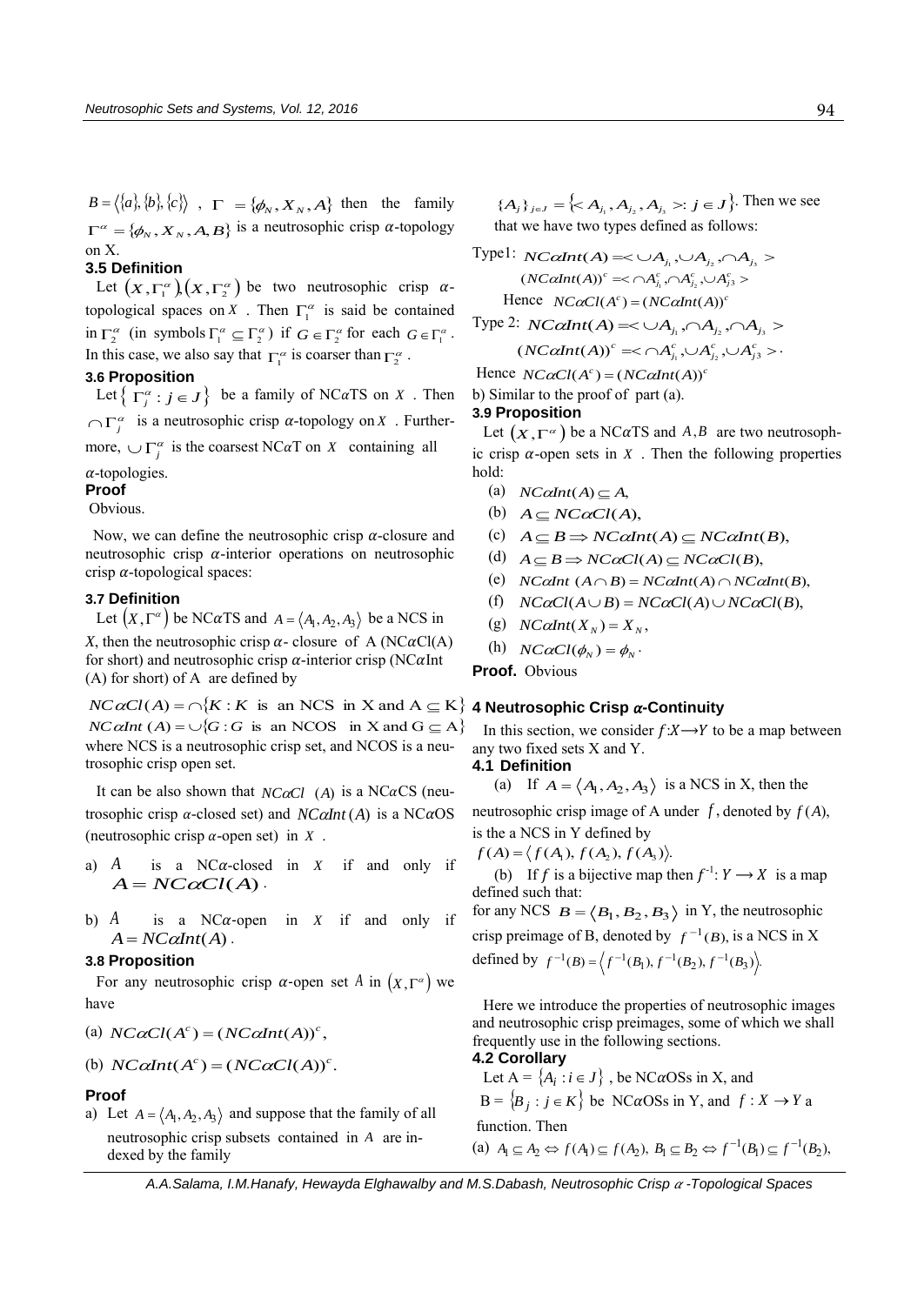$B = \langle \{a\}, \{b\}, \{c\} \rangle$ ,  $\Gamma = \{\phi_N, X_N, A\}$  then the family  $\Gamma^{\alpha} = {\phi_N, X_N, A, B}$  is a neutrosophic crisp  $\alpha$ -topology on X.

### **3.5 Definition**

**Definition**<br>Let  $(X, \Gamma_1^{\alpha}) (X, \Gamma_2^{\alpha})$  be two neutrosophic crisp  $\alpha$ topological spaces on *X*. Then  $\Gamma_1^{\alpha}$  is said be contained in  $\Gamma_2^{\alpha}$  (in symbols  $\Gamma_1^{\alpha} \subseteq \Gamma_2^{\alpha}$ ) if  $G \in \Gamma_2^{\alpha}$  for each  $G \in \Gamma_1^{\alpha}$ . In this case, we also say that  $\Gamma_1^{\alpha}$  is coarser than  $\Gamma_2^{\alpha}$ .

#### **3.6 Proposition**

Let  $\left\{ \Gamma_j^{\alpha} : j \in J \right\}$  be a family of NC $\alpha$ TS on X. Then  $\bigcap_{j=1}^{\infty}$  is a neutrosophic crisp  $\alpha$ -topology on X. Furthermore,  $\bigcup \Gamma_j^{\alpha}$  is the coarsest NC $\alpha$ T on X containing all

 $\alpha$ -topologies.

## **Proof**

Obvious.

Now, we can define the neutrosophic crisp  $\alpha$ -closure and neutrosophic crisp  $\alpha$ -interior operations on neutrosophic crisp  $\alpha$ -topological spaces:

#### **3.7 Definition**

Let  $(X, \Gamma^{\alpha})$  be NC $\alpha$ TS and  $A = \langle A_1, A_2, A_3 \rangle$  be a NCS in

*X*, then the neutrosophic crisp  $\alpha$ - closure of A (NC $\alpha$ Cl(A) for short) and neutrosophic crisp  $\alpha$ -interior crisp (NC $\alpha$ Int (A) for short) of A are defined by

 $NC \alpha Cl(A) = \bigcap \{ K : K \text{ is an NCS in } X \text{ and } A \subseteq K \}$  4 **Neutrosophic Crisp**  $\alpha$ **-Continuity** *NC*  $\alpha$ *Int*  $(A) = \bigcup \{G : G \text{ is an NCOS in } X \text{ and } G \subseteq A\}$ where NCS is a neutrosophic crisp set, and NCOS is a neutrosophic crisp open set.

It can be also shown that  $NC\alphaCl$  (A) is a NC $\alpha$ CS (neutrosophic crisp  $\alpha$ -closed set) and  $NC\alpha Int(A)$  is a NC $\alpha$ OS (neutrosophic crisp  $\alpha$ -open set) in  $X$ .

- a) *A* is a  $NC\alpha$ -closed in X if and only if  $A = NC\alpha Cl(A)$ .
- b) *A* is a  $NC\alpha$ -open *X* if and only if  $A = NC\alpha Int(A)$ .

#### **3.8 Proposition**

For any neutrosophic crisp  $\alpha$ -open set A in  $(X, \Gamma^{\alpha})$  we have

(a) 
$$
NC\alpha Cl(A^c) = (NC\alpha Int(A))^c
$$
,

(b)  $NC\alpha Int(A^c) = (NC\alpha C l(A))^c$ .

#### **Proof**

a) Let  $A = \langle A_1, A_2, A_3 \rangle$  and suppose that the family of all neutrosophic crisp subsets contained in *A* are indexed by the family

 ${A_j}_{j \in J} = \Big\{ < A_{j_1}, A_{j_2}, A_{j_3} >: j \in J \Big\}$ . Then we see that we have two types defined as follows:

Type!: 
$$
NC\alpha Int(A) = \langle \bigcup A_{j_1}, \bigcup A_{j_2}, \bigcap A_{j_3} \rangle
$$

\n $(NC\alpha Int(A))^c \leq \bigcap A_{j_1}^c, \bigcap A_{j_2}^c, \bigcup A_{j_3}^c \rangle$ 

\nHence  $NC\alpha Cl(A^c) = (NC\alpha Int(A))^c$ 

\nType 2:  $NC\alpha Int(A) \leq \bigcup A_{j_1}, \bigcap A_{j_2}, \bigcap A_{j_3} \rangle$ 

 $(NC\alpha Int(A))^c \approx \bigcap A_{j_1}^c, \bigcup A_{j_2}^c, \bigcup A_{j_3}^c$  > .

Hence  $NC\alpha Cl(A^c) = (NC\alpha Int(A))^c$ 

b) Similar to the proof of part (a).

#### **3.9 Proposition**

Let  $(X, \Gamma^{\alpha})$  be a NC $\alpha$ TS and A,B are two neutrosophic crisp  $\alpha$ -open sets in  $X$ . Then the following properties hold:

- (a)  $NC\alpha Int(A) \subseteq A$ ,
- (b)  $A \subseteq NC\alpha Cl(A),$
- (c)  $A \subseteq B \Rightarrow NCclnt(A) \subseteq NCclnt(B),$
- (d)  $A \subseteq B \Rightarrow NC\alpha Cl(A) \subseteq NC\alpha Cl(B),$
- (e)  $NC\alpha Int(A \cap B) = NC\alpha Int(A) \cap NC\alpha Int(B)$ ,
- (f)  $NCaCl(A \cup B) = NC\alpha Cl(A) \cup NC\alpha Cl(B),$
- (g)  $NC\alpha Int(X_N) = X_N$ ,
- (h)  $NC\alpha Cl(\phi_N) = \phi_N$ .

**Proof.** Obvious

In this section, we consider  $f: X \rightarrow Y$  to be a map between any two fixed sets X and Y.

**4.1 Definition** 

(a) If 
$$
A = \langle A_1, A_2, A_3 \rangle
$$
 is a NCS in X, then the

neutrosophic crisp image of A under  $f$ , denoted by  $f(A)$ , is the a NCS in Y defined by

 $f(A) = \langle f(A_1), f(A_2), f(A_3) \rangle.$ 

(b) If f is a bijective map then  $f^{-1}: Y \to X$  is a map defined such that:

for any NCS  $B = \langle B_1, B_2, B_3 \rangle$  in Y, the neutrosophic crisp preimage of B, denoted by  $f^{-1}(B)$ , is a NCS in X defined by

defined by 
$$
f^{-1}(B) = \langle f^{-1}(B_1), f^{-1}(B_2), f^{-1}(B_3) \rangle
$$
.

Here we introduce the properties of neutrosophic images and neutrosophic crisp preimages, some of which we shall frequently use in the following sections.

### **4.2 Corollary**

Let  $A = \{A_i : i \in J\}$ , be NC $\alpha$ OSs in X, and  $B = \{B_j : j \in K\}$  be NC $\alpha$ OSs in Y, and  $f: X \to Y$  a function. Then

(a)  $A_1 \subseteq A_2 \Leftrightarrow f(A_1) \subseteq f(A_2), B_1 \subseteq B_2 \Leftrightarrow f^{-1}(B_1) \subseteq f^{-1}(B_2),$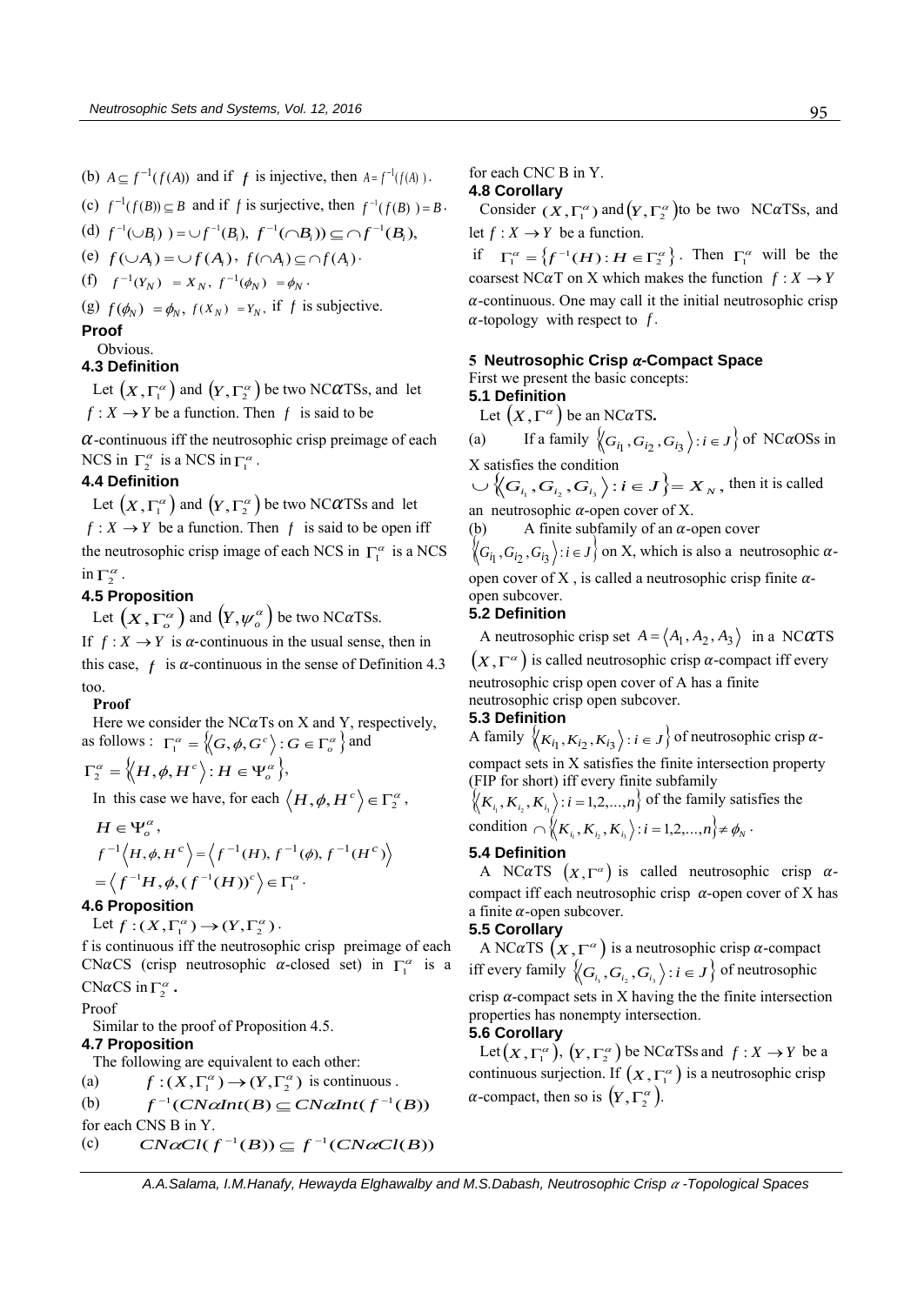(b)  $A \subseteq f^{-1}(f(A))$  and if *f* is injective, then  $A = f^{-1}(f(A))$ .

(c) 
$$
f^{-1}(f(B)) \subseteq B
$$
 and if f is surjective, then  $f^{-1}(f(B)) = B$ .

(d) 
$$
f^{-1}(\cup B_i) = \cup f^{-1}(B_i), \ f^{-1}(\cap B_i) \subseteq \cap f^{-1}(B_i),
$$

$$
\text{(e) } f(\cup A_i) = \cup f(A_i), \ f(\cap A_i) \subseteq \cap f(A_i)
$$

 $(f)$   $f^{-1}(Y_N) = X_N$ ,  $f^{-1}(\phi_N) = \phi_N$ .

(g)  $f(\phi_N) = \phi_N$ ,  $f(X_N) = Y_N$ , if *f* is subjective.

#### **Proof**

Obvious.

### **4.3 Definition**

Let  $\left(X,\Gamma_{1}^{\alpha}\right)$  and  $\left(Y,\Gamma_{2}^{\alpha}\right)$  be two NC $\alpha$ TSs, and let  $f: X \to Y$  be a function. Then  $f$  is said to be

 $\alpha$ -continuous iff the neutrosophic crisp preimage of each NCS in  $\Gamma_2^{\alpha}$  is a NCS in  $\Gamma_1^{\alpha}$ .

#### **4.4 Definition**

Let  $\left(X,\Gamma_{1}^{\alpha}\right)$  and  $\left(Y,\Gamma_{2}^{\alpha}\right)$  be two NC $\alpha$ TSs and let  $f: X \to Y$  be a function. Then f is said to be open iff the neutrosophic crisp image of each NCS in  $\Gamma_1^{\alpha}$  is a NCS in  $\Gamma_2^{\alpha}$ .

#### **4.5 Proposition**

Let  $(X, \Gamma_o^{\alpha})$  and  $(Y, \psi_o^{\alpha})$  be two NC $\alpha$ TSs. If  $f: X \to Y$  is  $\alpha$ -continuous in the usual sense, then in this case,  $f$  is  $\alpha$ -continuous in the sense of Definition 4.3 too.

**Proof** 

Here we consider the NC $\alpha$ Ts on X and Y, respectively, as follows :  $\Gamma_1^{\alpha} = \left\langle G, \phi, G^c \right\rangle : G \in \Gamma_o^{\alpha} \left\}$  and

$$
\Gamma_2^{\alpha} = \langle H, \phi, H^c \rangle : H \in \Psi_{o}^{\alpha} \rangle,
$$

In this case we have, for each  $\langle H, \phi, H^c \rangle \in \Gamma_2^{\alpha}$ ,

$$
H \in \Psi_o^{\alpha},
$$
  
\n
$$
f^{-1}\langle H, \phi, H^c \rangle = \langle f^{-1}(H), f^{-1}(\phi), f^{-1}(H^c) \rangle
$$
  
\n
$$
= \langle f^{-1}H, \phi, (f^{-1}(H))^c \rangle \in \Gamma_1^{\alpha}.
$$

#### **4.6 Proposition**

Let  $f:(X,\Gamma_1^{\alpha})\to (Y,\Gamma_2^{\alpha})$ .

f is continuous iff the neutrosophic crisp preimage of each CNaCS (crisp neutrosophic a-closed set) in  $\Gamma_1^{\alpha}$  is a CN $\alpha$ CS in  $\Gamma_2^{\alpha}$ .

### Proof

Similar to the proof of Proposition 4.5.

#### **4.7 Proposition**

The following are equivalent to each other:

(a)  $f:(X,\Gamma_1^{\alpha}) \to (Y,\Gamma_2^{\alpha})$  is continuous.

(b) 
$$
f^{-1}(CN\alpha Int(B) \subseteq CN\alpha Int(f^{-1}(B))
$$

for each CNS B in Y.

(c) 
$$
CN\alpha Cl(f^{-1}(B)) \subseteq f^{-1}(CN\alpha Cl(B))
$$

for each CNC B in Y.

#### **4.8 Corollary**

Consider  $(X, \Gamma_1^{\alpha})$  and  $(Y, \Gamma_2^{\alpha})$  to be two NC $\alpha$ TSs, and let  $f: X \to Y$  be a function.

if  $\Gamma_1^{\alpha} = \left\{ f^{-1}(H) : H \in \Gamma_2^{\alpha} \right\}$ . Then  $\Gamma_1^{\alpha}$  will be the coarsest NC $\alpha$ T on X which makes the function  $f: X \to Y$  $\alpha$ -continuous. One may call it the initial neutrosophic crisp  $\alpha$ -topology with respect to f.

#### **5 Neutrosophic Crisp -Compact Space**

First we present the basic concepts:

**5.1 Definition** 

Let  $(X,\Gamma^\alpha)$  be an NC $\alpha$ TS.

(a) If a family  $\langle G_{i_1}, G_{i_2}, G_{i_3} \rangle : i \in J \rangle$  of NC*a*OSs in X satisfies the condition

 $\bigcup \left\langle G_{i_1}, G_{i_2}, G_{i_3} \right\rangle : i \in J \right\rbrace = X_N$ , then it is called an neutrosophic  $\alpha$ -open cover of X.

(b) A finite subfamily of an  $\alpha$ -open cover

 $\langle G_{i_1}, G_{i_2}, G_{i_3} \rangle$ : *i*  $\in J$  on X, which is also a neutrosophic  $\alpha$ open cover of X, is called a neutrosophic crisp finite  $\alpha$ open subcover.

#### **5.2 Definition**

A neutrosophic crisp set  $A = \langle A_1, A_2, A_3 \rangle$  in a NC $\alpha$ TS  $(X,\Gamma^{\alpha})$  is called neutrosophic crisp  $\alpha$ -compact iff every neutrosophic crisp open cover of A has a finite neutrosophic crisp open subcover.

#### **5.3 Definition**

A family  $\langle K_{i_1}, K_{i_2}, K_{i_3} \rangle$ :  $i \in J$  of neutrosophic crisp  $\alpha$ compact sets in X satisfies the finite intersection property (FIP for short) iff every finite subfamily

 $\left\langle K_{i_1}, K_{i_2}, K_{i_3} \right\rangle : i = 1, 2, ..., n$  of the family satisfies the condition  $\bigcap \left\langle K_{i_1}, K_{i_2}, K_{i_3} \right\rangle : i = 1, 2, ..., n \right\} \neq \emptyset_N$ .

#### **5.4 Definition**

A NC $\alpha$ TS  $(X, \Gamma^{\alpha})$  is called neutrosophic crisp  $\alpha$ compact iff each neutrosophic crisp  $\alpha$ -open cover of X has a finite  $\alpha$ -open subcover.

#### **5.5 Corollary**

A NC $\alpha$ TS  $(X,\Gamma^{\alpha})$  is a neutrosophic crisp  $\alpha$ -compact iff every family  $\left\langle G_{i_1}, G_{i_2}, G_{i_3} \right\rangle : i \in J \right\}$  of neutrosophic crisp  $\alpha$ -compact sets in X having the the finite intersection properties has nonempty intersection.

**5.6 Corollary**  Let  $(X, \Gamma_1^{\alpha})$ ,  $(Y, \Gamma_2^{\alpha})$  be NC $\alpha$ TSs and  $f: X \to Y$  be a continuous surjection. If  $(X, \Gamma_1^{\alpha})$  is a neutrosophic crisp  $\alpha$ -compact, then so is  $(Y, \Gamma_2^{\alpha})$ .